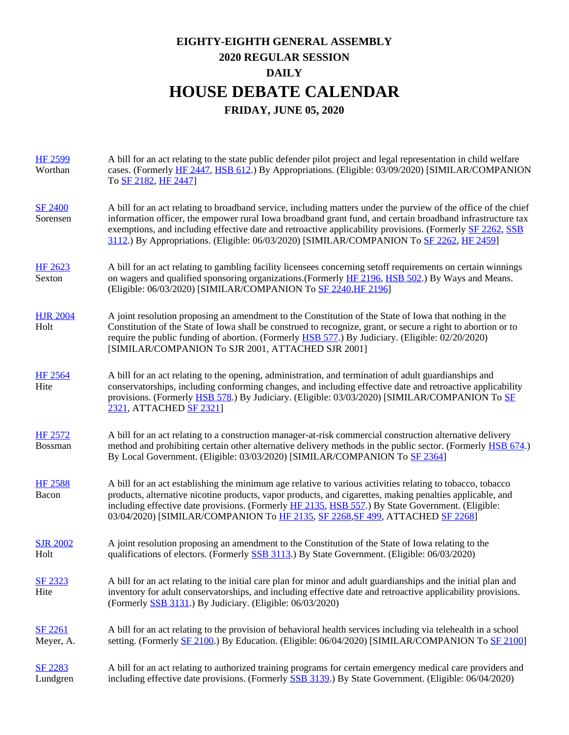## **EIGHTY-EIGHTH GENERAL ASSEMBLY 2020 REGULAR SESSION DAILY HOUSE DEBATE CALENDAR FRIDAY, JUNE 05, 2020**

| <b>HF 2599</b><br>Worthan        | A bill for an act relating to the state public defender pilot project and legal representation in child welfare<br>cases. (Formerly HF 2447, HSB 612.) By Appropriations. (Eligible: 03/09/2020) [SIMILAR/COMPANION<br>To SF 2182, HF 2447]                                                                                                                                                                                            |
|----------------------------------|----------------------------------------------------------------------------------------------------------------------------------------------------------------------------------------------------------------------------------------------------------------------------------------------------------------------------------------------------------------------------------------------------------------------------------------|
| <b>SF 2400</b><br>Sorensen       | A bill for an act relating to broadband service, including matters under the purview of the office of the chief<br>information officer, the empower rural Iowa broadband grant fund, and certain broadband infrastructure tax<br>exemptions, and including effective date and retroactive applicability provisions. (Formerly SF 2262, SSB<br>3112.) By Appropriations. (Eligible: 06/03/2020) [SIMILAR/COMPANION To SF 2262, HF 2459] |
| <b>HF 2623</b><br>Sexton         | A bill for an act relating to gambling facility licensees concerning set of requirements on certain winnings<br>on wagers and qualified sponsoring organizations. (Formerly HF 2196, HSB 502.) By Ways and Means.<br>(Eligible: 06/03/2020) [SIMILAR/COMPANION To SF 2240, HF 2196]                                                                                                                                                    |
| <b>HJR 2004</b><br>Holt          | A joint resolution proposing an amendment to the Constitution of the State of Iowa that nothing in the<br>Constitution of the State of Iowa shall be construed to recognize, grant, or secure a right to abortion or to<br>require the public funding of abortion. (Formerly HSB 577.) By Judiciary. (Eligible: 02/20/2020)<br>[SIMILAR/COMPANION To SJR 2001, ATTACHED SJR 2001]                                                      |
| <b>HF 2564</b><br>Hite           | A bill for an act relating to the opening, administration, and termination of adult guardianships and<br>conservatorships, including conforming changes, and including effective date and retroactive applicability<br>provisions. (Formerly HSB 578.) By Judiciary. (Eligible: 03/03/2020) [SIMILAR/COMPANION To SE<br>2321, ATTACHED SF 2321]                                                                                        |
| <b>HF 2572</b><br><b>Bossman</b> | A bill for an act relating to a construction manager-at-risk commercial construction alternative delivery<br>method and prohibiting certain other alternative delivery methods in the public sector. (Formerly HSB 674.)<br>By Local Government. (Eligible: 03/03/2020) [SIMILAR/COMPANION To SF 2364]                                                                                                                                 |
| <b>HF 2588</b><br>Bacon          | A bill for an act establishing the minimum age relative to various activities relating to tobacco, tobacco<br>products, alternative nicotine products, vapor products, and cigarettes, making penalties applicable, and<br>including effective date provisions. (Formerly HF 2135, HSB 557.) By State Government. (Eligible:<br>03/04/2020) [SIMILAR/COMPANION To HF 2135, SF 2268, SF 499, ATTACHED SF 2268]                          |
| <b>SJR 2002</b><br>Holt          | A joint resolution proposing an amendment to the Constitution of the State of Iowa relating to the<br>qualifications of electors. (Formerly SSB 3113.) By State Government. (Eligible: 06/03/2020)                                                                                                                                                                                                                                     |
| SF 2323<br>Hite                  | A bill for an act relating to the initial care plan for minor and adult guardianships and the initial plan and<br>inventory for adult conservatorships, and including effective date and retroactive applicability provisions.<br>(Formerly SSB 3131.) By Judiciary. (Eligible: 06/03/2020)                                                                                                                                            |
| SF 2261<br>Meyer, A.             | A bill for an act relating to the provision of behavioral health services including via telehealth in a school<br>setting. (Formerly SF 2100.) By Education. (Eligible: 06/04/2020) [SIMILAR/COMPANION To SF 2100]                                                                                                                                                                                                                     |
| SF 2283<br>Lundgren              | A bill for an act relating to authorized training programs for certain emergency medical care providers and<br>including effective date provisions. (Formerly SSB 3139.) By State Government. (Eligible: 06/04/2020)                                                                                                                                                                                                                   |